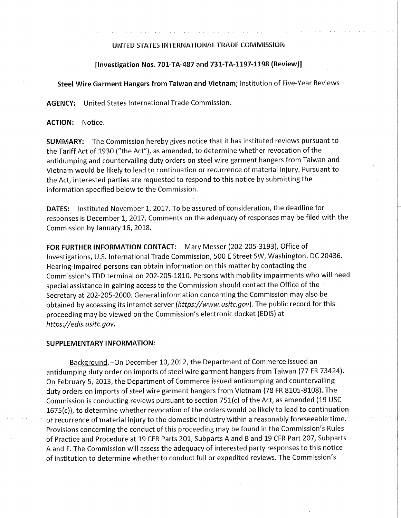## UNTED STATES INTERNATIONAL TRADE COMMISSION

## **[Investigation Nos. 701-TA-487 and 731-TA-1197-1198 (Review)]**

## **Steel Wire Garment Hangers from Taiwan and Vietnam;** Institution of Five-Year Reviews

**AGENCY:** United States International Trade Commission.

**ACTION:** Notice.

**SUMMARY:** The Commission hereby gives notice that it has instituted reviews pursuant to the Tariff Act of 1930 ("the Act"), as amended, to determine whether revocation of the antidumping and countervailing duty orders on steel wire garment hangers from Taiwan and Vietnam would be likely to lead to continuation or recurrence of material injury. Pursuant to the Act, interested parties are requested to respond to this notice by submitting the information specified below to the Commission.

**DATES:** Instituted November 1, 2017. To be assured of consideration, the deadline for responses is December 1, 2017. Comments on the adequacy of responses may be filed with the Commission by January 16, 2018.

**FOR FURTHER INFORMATION CONTACT:** Mary Messer (202-205-3193), Office of Investigations, U.S. International Trade Commission, 500 E Street SW, Washington, DC 20436. Hearing-impaired persons can obtain information on this matter by contacting the Commission's TDD terminal on 202-205-1810. Persons with mobility impairments who will need special assistance in gaining access to the Commission should contact the Office of the Secretary at 202-205-2000. General information concerning the Commission may also be obtained by accessing its internet server *(https://www.usitc.gov).* The public record for this proceeding may be viewed on the Commission's electronic docket (EDIS) at *https://edis.usitc.gov.* 

## **SUPPLEMENTARY INFORMATION:**

Background.--On December 10, 2012, the Department of Commerce issued an antidumping duty order on imports of steel wire garment hangers from Taiwan (77 FR 73424). On February 5, 2013, the Department of Commerce issued antidumping and countervailing duty orders on imports of steel wire garment hangers from Vietnam (78 FR 8105-8108). The Commission is conducting reviews pursuant to section 751(c) of the Act, as amended (19 USC 1675(c)), to determine whether revocation of the orders would be likely to lead to continuation or recurrence of material injury to the domestic industry within a reasonably foreseeable time. Provisions concerning the conduct of this proceeding may be found in the Commission's Rules of Practice and Procedure at 19 CFR Parts 201, Subparts A and B and 19 CFR Part 207, Subparts A and F. The Commission will assess the adequacy of interested party responses to this notice of institution to determine whether to conduct full or expedited reviews. The Commission's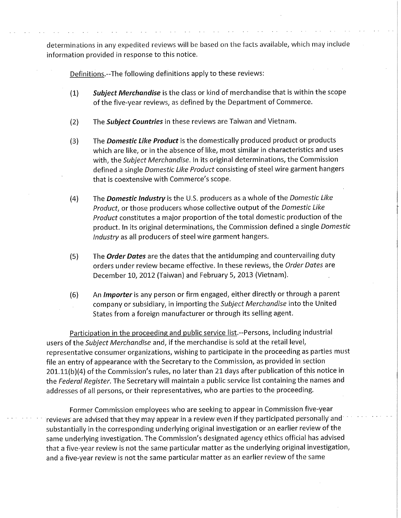determinations in any expedited reviews will be based on the facts available, which may include information provided in response to this notice.

Definitions.--The following definitions apply to these reviews:

- *(1) Subject Merchandise* is the class or kind of merchandise that is within the scope of the five-year reviews, as defined by the Department of Commerce.
- (2) The *Subject Countries* in these reviews are Taiwan and Vietnam.
- (3) The *Domestic Like Product* is the domestically produced product or products which are like, or in the absence of like, most similar in characteristics and uses with, the *Subject Merchandise.* In its original determinations, the Commission defined a single *Domestic Like Product* consisting of steel wire garment hangers that is coextensive with Commerce's scope.
- (4) The *Domestic Industry* is the U.S. producers as a whole of the *Domestic Like Product,* or those producers whose collective output of the *Domestic Like Product* constitutes a major proportion of the total domestic production of the product. In its original determinations, the Commission defined a single *Domestic Industry* as all producers of steel wire garment hangers.
- (5) The *Order Dates* are the dates that the antidumping and countervailing duty orders under review became effective. In these reviews, the *Order Dates* are December 10, 2012 (Taiwan) and February 5, 2013 (Vietnam).
- (6) An *Importer* is any person or firm engaged, either directly or through a parent company or subsidiary, in importing the *Subject Merchandise* into the United States from a foreign manufacturer or through its selling agent.

Participation in the proceeding and public service list.--Persons, including industrial users of the *Subject Merchandise* and, if the merchandise is sold at the retail level, representative consumer organizations, wishing to participate in the proceeding as parties must file an entry of appearance with the Secretary to the Commission, as provided in section 201.11(b)(4) of the Commission's rules, no later than 21 days after publication of this notice in the *Federal Register.* The Secretary will maintain a public service list containing the names and addresses of all persons, or their representatives, who are parties to the proceeding.

Former Commission employees who are seeking to appear in Commission five-year reviews are advised that they may appear in a review-even if they participated personally and substantially in the corresponding underlying original investigation or an earlier review of the same underlying investigation. The Commission's designated agency ethics official has advised that a five-year review is not the same particular matter as the underlying original investigation, and a five-year review is not the same particular matter as an earlier review of the same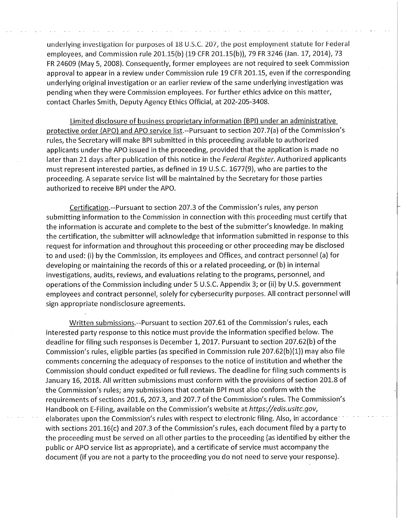underlying investigation for purposes of 18 U.S.C. 207, the post employment statute for Federal employees, and Commission rule 201.15(b) (19 CFR 201.15(b)), 79 FR 3246 (Jan. 17, 2014), 73 FR 24609 (May 5, 2008). Consequently, former employees are not required to seek Commission approval to appear in a review under Commission rule 19 CFR 201.15, even if the corresponding underlying original investigation or an earlier review of the same underlying investigation was pending when they were Commission employees. For further ethics advice on this matter, contact Charles Smith, Deputy Agency Ethics Official, at 202-205-3408.

Limited disclosure of business proprietary information (BPI) under an administrative protective order (APO) and APO service list.--Pursuant to section 207.7(a) of the Commission's rules, the Secretary will make BPI submitted in this proceeding available to authorized applicants under the APO issued in the proceeding, provided that the application is made no later than 21 days after publication of this notice in the *Federal Register.* Authorized applicants must represent interested parties, as defined in 19 U.S.C. 1677(9), who are parties to the proceeding. A separate service list will be maintained by the Secretary for those parties authorized to receive BPI under the APO.

Certification.--Pursuant to section 207.3 of the Commission's rules, any person submitting information to the Commission in connection with this proceeding must certify that the information is accurate and complete to the best of the submitter's knowledge. In making the certification, the submitter will acknowledge that information submitted in response to this request for information and throughout this proceeding or other proceeding may be disclosed to and used: (i) by the Commission, its employees and Offices, and contract personnel (a) for developing or maintaining the records of this or a related proceeding, or (b) in internal investigations, audits, reviews, and evaluations relating to the programs, personnel, and operations of the Commission including under 5 U.S.C. Appendix 3; or (ii) by U.S. government employees and contract personnel, solely for cybersecurity purposes. All contract personnel will sign appropriate nondisclosure agreements.

Written submissions.--Pursuant to section 207.61 of the Commission's rules, each interested party response to this notice must provide the information specified below. The deadline for filing such responses is December 1, 2017. Pursuant to section 207.62(b) of the Commission's rules, eligible parties (as specified in Commission rule 207.62(b)(1)) may also file comments concerning the adequacy of responses to the notice of institution and whether the Commission should conduct expedited or full reviews. The deadline for filing such comments is January 16, 2018. All written submissions must conform with the provisions of section 201.8 of the Commission's rules; any submissions that contain BPI must also conform with the requirements of sections 201.6, 207.3, and 207.7 of the Commission's rules. The Commission's Handbook on E-Filing, available on the Commission's website at *https://edis.usitc.gov,*  elaborates upon the Commission's rules with respect to electronic filing. Also, in accordance with sections 201.16(c) and 207.3 of the Commission's rules, each document filed by a party to the proceeding must be served on all other parties to the proceeding (as identified by either the public or APO service list as appropriate), and a certificate of service must accompany the document (if you are not a party to the proceeding you do not need to serve your response).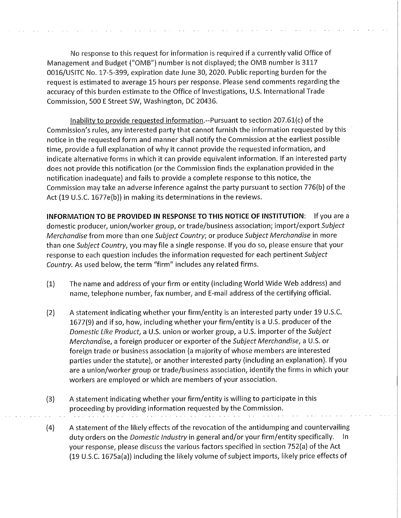No response to this request for information is required if a currently valid Office of Management and Budget ("OMB") number is not displayed; the OMB number is 3117 0016/USITC No. 17-5-399, expiration date June 30, 2020. Public reporting burden for the request is estimated to average 15 hours per response. Please send comments regarding the accuracy of this burden estimate to the Office of Investigations, U.S. International Trade Commission, 500 E Street SW, Washington, DC 20436.

Inability to provide requested information.--Pursuant to section 207.61(c) of the Commission's rules, any interested party that cannot furnish the information requested by this notice in the requested form and manner shall notify the Commission at the earliest possible time, provide a full explanation of why it cannot provide the requested information, and indicate alternative forms in which it can provide equivalent information. If an interested party does not provide this notification (or the Commission finds the explanation provided in the notification inadequate) and fails to provide a complete response to this notice, the Commission may take an adverse inference against the party pursuant to section 776(b) of the Act (19 U.S.C. 1677e(b)) in making its determinations in the reviews.

**INFORMATION TO BE PROVIDED IN RESPONSE TO THIS NOTICE OF INSTITUTION:** If you are a domestic producer, union/worker group, or trade/business association; import/export *Subject Merchandise* from more than one *Subject Country;* or produce *Subject Merchandise* in more than one *Subject Country,* you may file a single response. If you do so, please ensure that your response to each question includes the information requested for each pertinent *Subject Country.* As used below, the term "firm" includes any related firms.

- (1) The name and address of your firm or entity (including World Wide Web address) and name, telephone number, fax number, and E-mail address of the certifying official.
- (2) A statement indicating whether your firm/entity is an interested party under 19 U.S.C. 1677(9) and if so, how, including whether your firm/entity is a U.S. producer of the *Domestic Like Product,* a U.S. union or worker group, a U.S. importer of the *Subject Merchandise,* a foreign producer or exporter of the *Subject Merchandise,* a U.S. or foreign trade or business association (a majority of whose members are interested parties under the statute), or another interested party (including an explanation). If you are a union/worker group or trade/business association, identify the firms in which your workers are employed or which are members of your association.
- (3) A statement indicating whether your firm/entity is willing to participate in this proceeding by providing information requested by the Commission.
- (4) A statement of the likely effects of the revocation of the antidumping and countervailing duty orders on the *Domestic Industry* in general and/or your firm/entity specifically. In your response, please discuss the various factors specified in section 752(a) of the Act (19 U.S.C. 1675a(a)) including the likely volume of subject imports, likely price effects of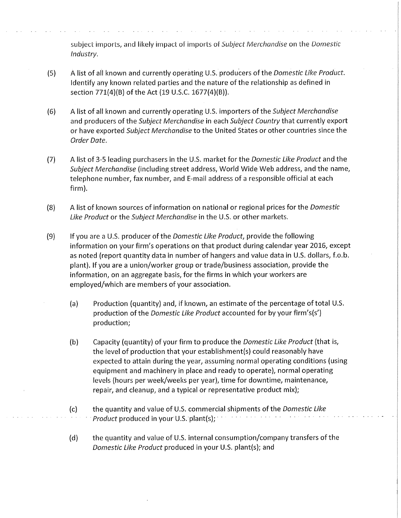subject imports, and likely impact of imports of Subject Merchandise on the Domestic Industry.

- (5) A **list of all known and currently operating U.S. producers of the** Domestic Like Product. **Identify any known related parties and the nature of the relationship as defined in section 771(4)(B) of the Act (19 U.S.C. 1677(4)(B)).**
- **(6) A list of all known and currently operating U.S. importers of the** Subject Merchandise **and producers of the** Subject Merchandise **in each** Subject Country **that currently export or have exported** Subject Merchandise **to the United States or other countries since the**  Order Date.
- (7) A **list of 3-5 leading purchasers in the U.S. market for the** Domestic Like Product **and the**  Subject Merchandise **(including street address, World Wide Web address, and the name, telephone number, fax number, and E-mail address of a responsible official at each firm).**
- **(8) A list of known sources of information on national or regional prices for the** Domestic Like Product **or the** Subject Merchandise **in the U.S. or other markets.**
- **(9) If you are a U.S. producer of the** Domestic Like Product, **provide the following information on your firm's operations on that product during calendar year 2016, except as noted (report quantity data in number of hangers and value data in U.S. dollars, f.o.b. plant). If you are a union/worker group or trade/business association, provide the information, on an aggregate basis, for the firms in which your workers are employed/which are members of your association.** 
	- **(a) Production (quantity) and, if known, an estimate of the percentage of total U.S. production of the** Domestic Like Product **accounted for by your firm's(s') production;**
	- **(b) Capacity (quantity) of your firm to produce the** Domestic Like Product **(that is, the level of production that your establishment(s) could reasonably have expected to attain during the year, assuming normal operating conditions (using equipment and machinery in place and ready to operate), normal operating levels (hours per week/weeks per year), time for downtime, maintenance, repair, and cleanup, and a typical or representative product mix);**
	- **(c) the quantity and value of U.S. commercial shipments of the** Domestic Like Product **produced in your U.S. plant(s);**
	- **(d) the quantity and value of U.S. internal consumption/company transfers of the**  Domestic Like Product **produced in your U.S. plant(s); and**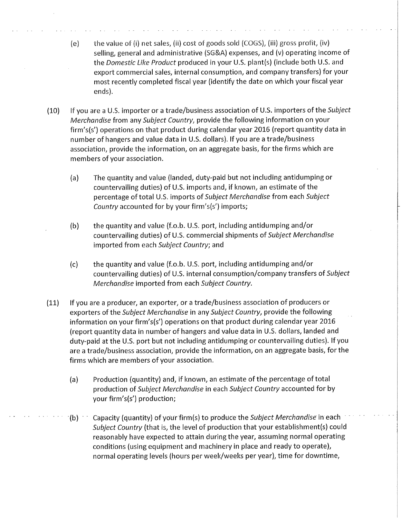- (e) the value of (i) net sales, (ii) cost of goods sold (COGS), (iii) gross profit, (iv) selling, general and administrative (SG&A) expenses, and (v) operating income of the Domestic Like Product produced in your U.S. plant(s) (include both U.S. and export commercial sales, internal consumption, and company transfers) for your most recently completed fiscal year (identify the date on which your fiscal year ends).
- (10) If you are a U.S. importer or a trade/business association of U.S. importers of the Subject Merchandise from any Subject Country, provide the following information on your firm's(s') operations on that product during calendar year 2016 (report quantity data in number of hangers and value data in U.S. dollars). If you are a trade/business association, provide the information, on an aggregate basis, for the firms which are members of your association.
	- (a) The quantity and value (landed, duty-paid but not including antidumping or countervailing duties) of U.S. imports and, if known, an estimate of the percentage of total U.S. imports of Subject Merchandise from each Subject Country accounted for by your firm's(s') imports;
	- (b) the quantity and value (f.o.b. U.S. port, including antidumping and/or countervailing duties) of U.S. commercial shipments of Subject Merchandise imported from each Subject Country; and
	- (c) the quantity and value (f.o.b. U.S. port, including antidumping and/or countervailing duties) of U.S. internal consumption/company transfers of Subject Merchandise imported from each Subject Country.
- (11) If you are a producer, an exporter, or a trade/business association of producers or exporters of the Subject Merchandise in any Subject Country, provide the following information on your firm's(s') operations on that product during calendar year 2016 (report quantity data in number of hangers and value data in U.S. dollars, landed and duty-paid at the U.S. port but not including antidumping or countervailing duties). If you are a trade/business association, provide the information, on an aggregate basis, for the firms which are members of your association.
	- (a) Production (quantity) and, if known, an estimate of the percentage of total production of Subject Merchandise in each Subject Country accounted for by your firm's(s') production;
	- (b)  $\cdots$  Capacity (quantity) of your firm(s) to produce the Subject Merchandise in each Subject Country (that is, the level of production that your establishment(s) could reasonably have expected to attain during the year, assuming normal operating conditions (using equipment and machinery in place and ready to operate), normal operating levels (hours per week/weeks per year), time for downtime,